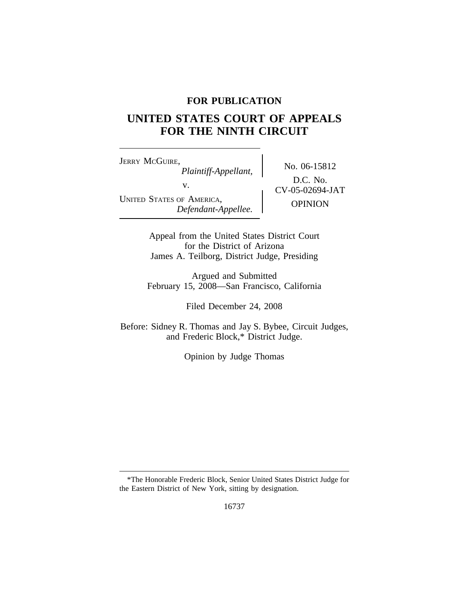## **FOR PUBLICATION**

# **UNITED STATES COURT OF APPEALS FOR THE NINTH CIRCUIT**

<sup>J</sup>ERRY MCGUIRE, No. 06-15812 *Plaintiff-Appellant,* v.  $\qquad \qquad \begin{array}{c} \text{D.C. 140.} \\ \text{CV-05-02694-JAT} \end{array}$ UNITED STATES OF AMERICA, OPINION *Defendant-Appellee.*

D.C. No.

Appeal from the United States District Court for the District of Arizona James A. Teilborg, District Judge, Presiding

Argued and Submitted February 15, 2008—San Francisco, California

Filed December 24, 2008

Before: Sidney R. Thomas and Jay S. Bybee, Circuit Judges, and Frederic Block,\* District Judge.

Opinion by Judge Thomas

<sup>\*</sup>The Honorable Frederic Block, Senior United States District Judge for the Eastern District of New York, sitting by designation.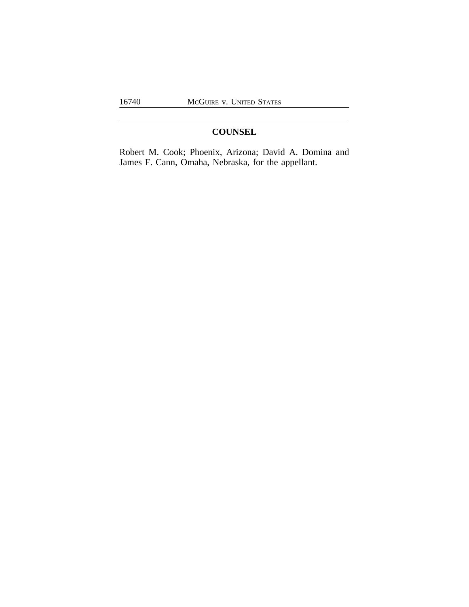# **COUNSEL**

Robert M. Cook; Phoenix, Arizona; David A. Domina and James F. Cann, Omaha, Nebraska, for the appellant.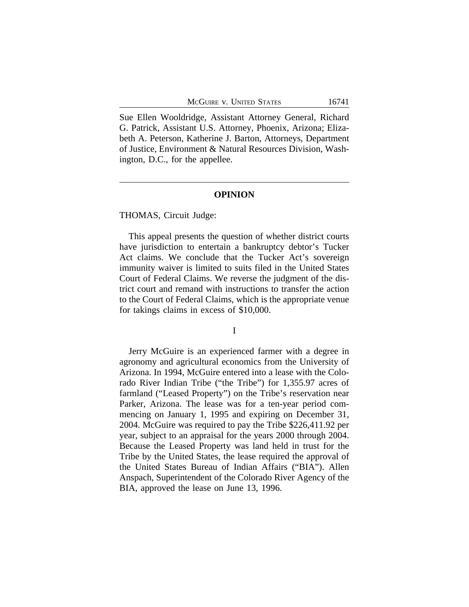Sue Ellen Wooldridge, Assistant Attorney General, Richard G. Patrick, Assistant U.S. Attorney, Phoenix, Arizona; Elizabeth A. Peterson, Katherine J. Barton, Attorneys, Department of Justice, Environment & Natural Resources Division, Washington, D.C., for the appellee.

### **OPINION**

#### THOMAS, Circuit Judge:

This appeal presents the question of whether district courts have jurisdiction to entertain a bankruptcy debtor's Tucker Act claims. We conclude that the Tucker Act's sovereign immunity waiver is limited to suits filed in the United States Court of Federal Claims. We reverse the judgment of the district court and remand with instructions to transfer the action to the Court of Federal Claims, which is the appropriate venue for takings claims in excess of \$10,000.

I

Jerry McGuire is an experienced farmer with a degree in agronomy and agricultural economics from the University of Arizona. In 1994, McGuire entered into a lease with the Colorado River Indian Tribe ("the Tribe") for 1,355.97 acres of farmland ("Leased Property") on the Tribe's reservation near Parker, Arizona. The lease was for a ten-year period commencing on January 1, 1995 and expiring on December 31, 2004. McGuire was required to pay the Tribe \$226,411.92 per year, subject to an appraisal for the years 2000 through 2004. Because the Leased Property was land held in trust for the Tribe by the United States, the lease required the approval of the United States Bureau of Indian Affairs ("BIA"). Allen Anspach, Superintendent of the Colorado River Agency of the BIA, approved the lease on June 13, 1996.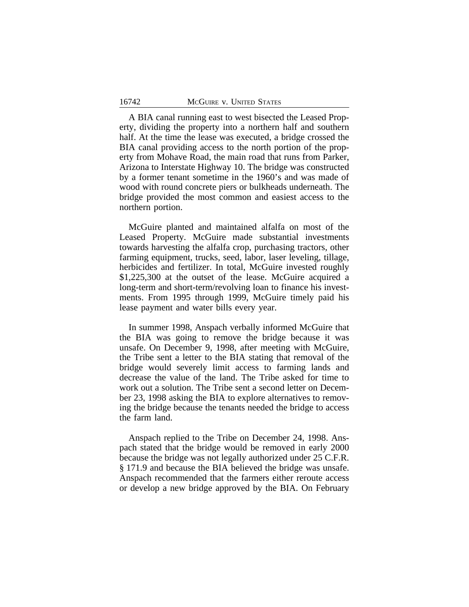A BIA canal running east to west bisected the Leased Property, dividing the property into a northern half and southern half. At the time the lease was executed, a bridge crossed the BIA canal providing access to the north portion of the property from Mohave Road, the main road that runs from Parker, Arizona to Interstate Highway 10. The bridge was constructed by a former tenant sometime in the 1960's and was made of wood with round concrete piers or bulkheads underneath. The bridge provided the most common and easiest access to the northern portion.

McGuire planted and maintained alfalfa on most of the Leased Property. McGuire made substantial investments towards harvesting the alfalfa crop, purchasing tractors, other farming equipment, trucks, seed, labor, laser leveling, tillage, herbicides and fertilizer. In total, McGuire invested roughly \$1,225,300 at the outset of the lease. McGuire acquired a long-term and short-term/revolving loan to finance his investments. From 1995 through 1999, McGuire timely paid his lease payment and water bills every year.

In summer 1998, Anspach verbally informed McGuire that the BIA was going to remove the bridge because it was unsafe. On December 9, 1998, after meeting with McGuire, the Tribe sent a letter to the BIA stating that removal of the bridge would severely limit access to farming lands and decrease the value of the land. The Tribe asked for time to work out a solution. The Tribe sent a second letter on December 23, 1998 asking the BIA to explore alternatives to removing the bridge because the tenants needed the bridge to access the farm land.

Anspach replied to the Tribe on December 24, 1998. Anspach stated that the bridge would be removed in early 2000 because the bridge was not legally authorized under 25 C.F.R. § 171.9 and because the BIA believed the bridge was unsafe. Anspach recommended that the farmers either reroute access or develop a new bridge approved by the BIA. On February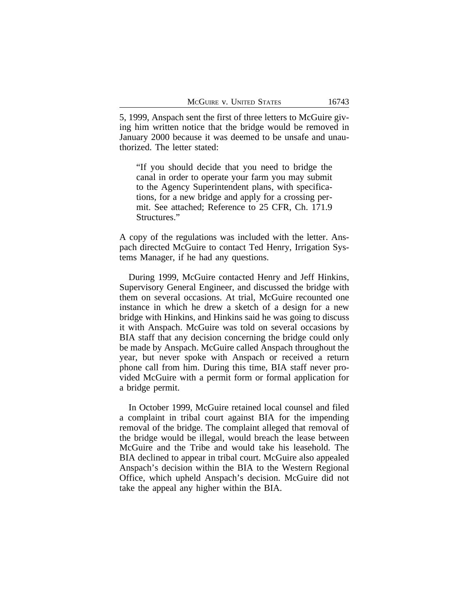5, 1999, Anspach sent the first of three letters to McGuire giving him written notice that the bridge would be removed in January 2000 because it was deemed to be unsafe and unauthorized. The letter stated:

"If you should decide that you need to bridge the canal in order to operate your farm you may submit to the Agency Superintendent plans, with specifications, for a new bridge and apply for a crossing permit. See attached; Reference to 25 CFR, Ch. 171.9 Structures."

A copy of the regulations was included with the letter. Anspach directed McGuire to contact Ted Henry, Irrigation Systems Manager, if he had any questions.

During 1999, McGuire contacted Henry and Jeff Hinkins, Supervisory General Engineer, and discussed the bridge with them on several occasions. At trial, McGuire recounted one instance in which he drew a sketch of a design for a new bridge with Hinkins, and Hinkins said he was going to discuss it with Anspach. McGuire was told on several occasions by BIA staff that any decision concerning the bridge could only be made by Anspach. McGuire called Anspach throughout the year, but never spoke with Anspach or received a return phone call from him. During this time, BIA staff never provided McGuire with a permit form or formal application for a bridge permit.

In October 1999, McGuire retained local counsel and filed a complaint in tribal court against BIA for the impending removal of the bridge. The complaint alleged that removal of the bridge would be illegal, would breach the lease between McGuire and the Tribe and would take his leasehold. The BIA declined to appear in tribal court. McGuire also appealed Anspach's decision within the BIA to the Western Regional Office, which upheld Anspach's decision. McGuire did not take the appeal any higher within the BIA.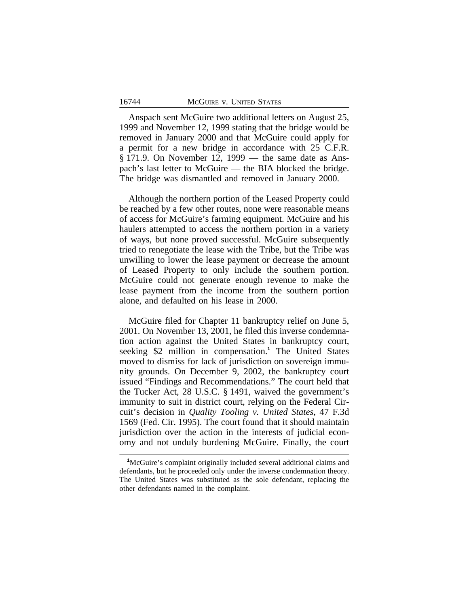Anspach sent McGuire two additional letters on August 25, 1999 and November 12, 1999 stating that the bridge would be removed in January 2000 and that McGuire could apply for a permit for a new bridge in accordance with 25 C.F.R. § 171.9. On November 12, 1999 — the same date as Anspach's last letter to McGuire — the BIA blocked the bridge. The bridge was dismantled and removed in January 2000.

Although the northern portion of the Leased Property could be reached by a few other routes, none were reasonable means of access for McGuire's farming equipment. McGuire and his haulers attempted to access the northern portion in a variety of ways, but none proved successful. McGuire subsequently tried to renegotiate the lease with the Tribe, but the Tribe was unwilling to lower the lease payment or decrease the amount of Leased Property to only include the southern portion. McGuire could not generate enough revenue to make the lease payment from the income from the southern portion alone, and defaulted on his lease in 2000.

McGuire filed for Chapter 11 bankruptcy relief on June 5, 2001. On November 13, 2001, he filed this inverse condemnation action against the United States in bankruptcy court, seeking \$2 million in compensation.**<sup>1</sup>** The United States moved to dismiss for lack of jurisdiction on sovereign immunity grounds. On December 9, 2002, the bankruptcy court issued "Findings and Recommendations." The court held that the Tucker Act, 28 U.S.C. § 1491, waived the government's immunity to suit in district court, relying on the Federal Circuit's decision in *Quality Tooling v. United States*, 47 F.3d 1569 (Fed. Cir. 1995). The court found that it should maintain jurisdiction over the action in the interests of judicial economy and not unduly burdening McGuire. Finally, the court

**<sup>1</sup>**McGuire's complaint originally included several additional claims and defendants, but he proceeded only under the inverse condemnation theory. The United States was substituted as the sole defendant, replacing the other defendants named in the complaint.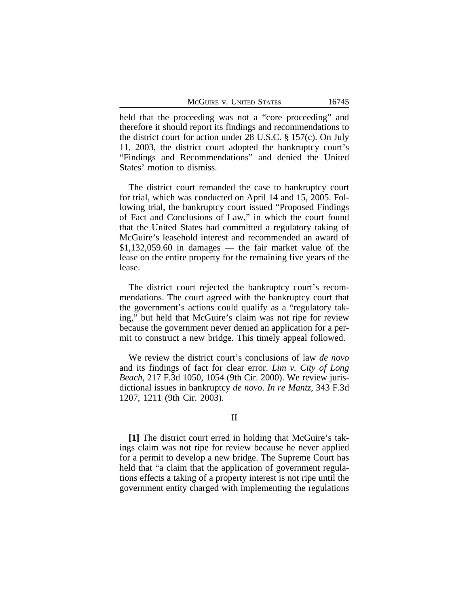held that the proceeding was not a "core proceeding" and therefore it should report its findings and recommendations to the district court for action under 28 U.S.C. § 157(c). On July 11, 2003, the district court adopted the bankruptcy court's "Findings and Recommendations" and denied the United States' motion to dismiss.

The district court remanded the case to bankruptcy court for trial, which was conducted on April 14 and 15, 2005. Following trial, the bankruptcy court issued "Proposed Findings of Fact and Conclusions of Law," in which the court found that the United States had committed a regulatory taking of McGuire's leasehold interest and recommended an award of  $$1,132,059.60$  in damages — the fair market value of the lease on the entire property for the remaining five years of the lease.

The district court rejected the bankruptcy court's recommendations. The court agreed with the bankruptcy court that the government's actions could qualify as a "regulatory taking," but held that McGuire's claim was not ripe for review because the government never denied an application for a permit to construct a new bridge. This timely appeal followed.

We review the district court's conclusions of law *de novo* and its findings of fact for clear error. *Lim v. City of Long Beach*, 217 F.3d 1050, 1054 (9th Cir. 2000). We review jurisdictional issues in bankruptcy *de novo*. *In re Mantz*, 343 F.3d 1207, 1211 (9th Cir. 2003).

### II

**[1]** The district court erred in holding that McGuire's takings claim was not ripe for review because he never applied for a permit to develop a new bridge. The Supreme Court has held that "a claim that the application of government regulations effects a taking of a property interest is not ripe until the government entity charged with implementing the regulations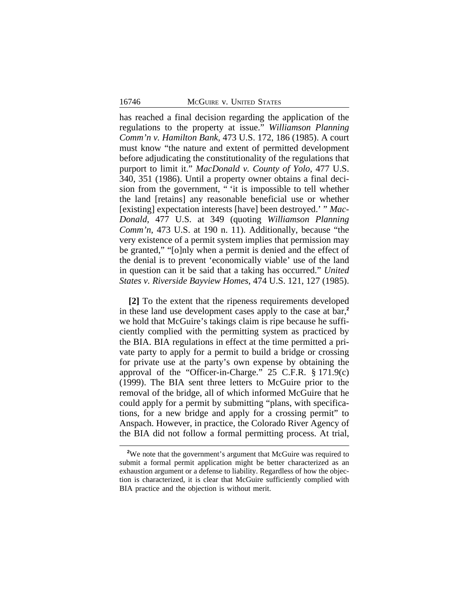has reached a final decision regarding the application of the regulations to the property at issue." *Williamson Planning Comm'n v. Hamilton Bank*, 473 U.S. 172, 186 (1985). A court must know "the nature and extent of permitted development before adjudicating the constitutionality of the regulations that purport to limit it." *MacDonald v. County of Yolo*, 477 U.S. 340, 351 (1986). Until a property owner obtains a final decision from the government, " 'it is impossible to tell whether the land [retains] any reasonable beneficial use or whether [existing] expectation interests [have] been destroyed.' " *Mac-Donald*, 477 U.S. at 349 (quoting *Williamson Planning Comm'n*, 473 U.S. at 190 n. 11). Additionally, because "the very existence of a permit system implies that permission may be granted," "[o]nly when a permit is denied and the effect of the denial is to prevent 'economically viable' use of the land in question can it be said that a taking has occurred." *United States v. Riverside Bayview Homes*, 474 U.S. 121, 127 (1985).

**[2]** To the extent that the ripeness requirements developed in these land use development cases apply to the case at bar,**<sup>2</sup>** we hold that McGuire's takings claim is ripe because he sufficiently complied with the permitting system as practiced by the BIA. BIA regulations in effect at the time permitted a private party to apply for a permit to build a bridge or crossing for private use at the party's own expense by obtaining the approval of the "Officer-in-Charge." 25 C.F.R. § 171.9(c) (1999). The BIA sent three letters to McGuire prior to the removal of the bridge, all of which informed McGuire that he could apply for a permit by submitting "plans, with specifications, for a new bridge and apply for a crossing permit" to Anspach. However, in practice, the Colorado River Agency of the BIA did not follow a formal permitting process. At trial,

<sup>&</sup>lt;sup>2</sup>We note that the government's argument that McGuire was required to submit a formal permit application might be better characterized as an exhaustion argument or a defense to liability. Regardless of how the objection is characterized, it is clear that McGuire sufficiently complied with BIA practice and the objection is without merit.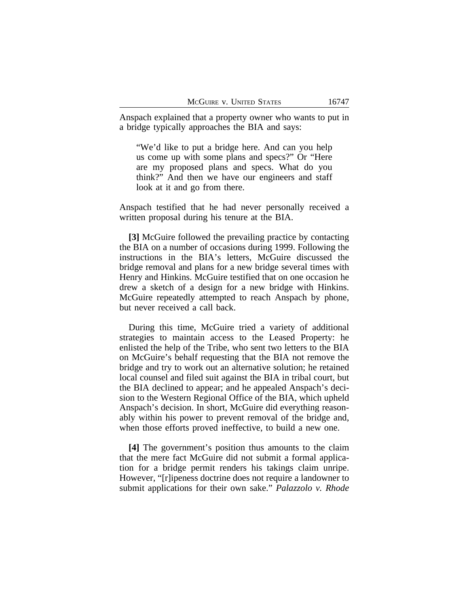Anspach explained that a property owner who wants to put in a bridge typically approaches the BIA and says:

"We'd like to put a bridge here. And can you help us come up with some plans and specs?" Or "Here are my proposed plans and specs. What do you think?" And then we have our engineers and staff look at it and go from there.

Anspach testified that he had never personally received a written proposal during his tenure at the BIA.

**[3]** McGuire followed the prevailing practice by contacting the BIA on a number of occasions during 1999. Following the instructions in the BIA's letters, McGuire discussed the bridge removal and plans for a new bridge several times with Henry and Hinkins. McGuire testified that on one occasion he drew a sketch of a design for a new bridge with Hinkins. McGuire repeatedly attempted to reach Anspach by phone, but never received a call back.

During this time, McGuire tried a variety of additional strategies to maintain access to the Leased Property: he enlisted the help of the Tribe, who sent two letters to the BIA on McGuire's behalf requesting that the BIA not remove the bridge and try to work out an alternative solution; he retained local counsel and filed suit against the BIA in tribal court, but the BIA declined to appear; and he appealed Anspach's decision to the Western Regional Office of the BIA, which upheld Anspach's decision. In short, McGuire did everything reasonably within his power to prevent removal of the bridge and, when those efforts proved ineffective, to build a new one.

**[4]** The government's position thus amounts to the claim that the mere fact McGuire did not submit a formal application for a bridge permit renders his takings claim unripe. However, "[r]ipeness doctrine does not require a landowner to submit applications for their own sake." *Palazzolo v. Rhode*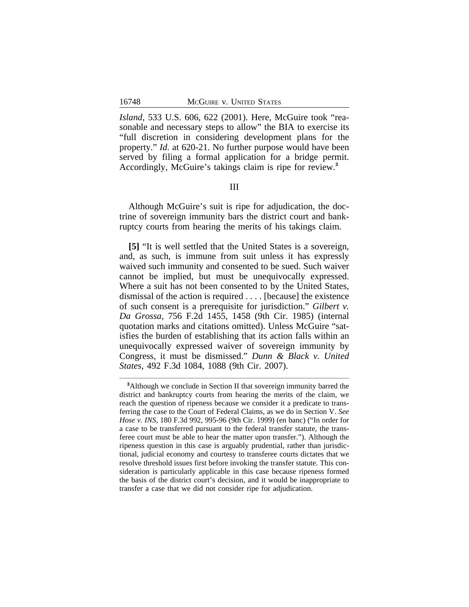*Island*, 533 U.S. 606, 622 (2001). Here, McGuire took "reasonable and necessary steps to allow" the BIA to exercise its "full discretion in considering development plans for the property." *Id.* at 620-21. No further purpose would have been served by filing a formal application for a bridge permit. Accordingly, McGuire's takings claim is ripe for review.**<sup>3</sup>**

#### III

Although McGuire's suit is ripe for adjudication, the doctrine of sovereign immunity bars the district court and bankruptcy courts from hearing the merits of his takings claim.

**[5]** "It is well settled that the United States is a sovereign, and, as such, is immune from suit unless it has expressly waived such immunity and consented to be sued. Such waiver cannot be implied, but must be unequivocally expressed. Where a suit has not been consented to by the United States, dismissal of the action is required . . . . [because] the existence of such consent is a prerequisite for jurisdiction." *Gilbert v. Da Grossa*, 756 F.2d 1455, 1458 (9th Cir. 1985) (internal quotation marks and citations omitted). Unless McGuire "satisfies the burden of establishing that its action falls within an unequivocally expressed waiver of sovereign immunity by Congress, it must be dismissed." *Dunn & Black v. United States*, 492 F.3d 1084, 1088 (9th Cir. 2007).

**<sup>3</sup>**Although we conclude in Section II that sovereign immunity barred the district and bankruptcy courts from hearing the merits of the claim, we reach the question of ripeness because we consider it a predicate to transferring the case to the Court of Federal Claims, as we do in Section V. *See Hose v. INS*, 180 F.3d 992, 995-96 (9th Cir. 1999) (en banc) ("In order for a case to be transferred pursuant to the federal transfer statute, the transferee court must be able to hear the matter upon transfer."). Although the ripeness question in this case is arguably prudential, rather than jurisdictional, judicial economy and courtesy to transferee courts dictates that we resolve threshold issues first before invoking the transfer statute. This consideration is particularly applicable in this case because ripeness formed the basis of the district court's decision, and it would be inappropriate to transfer a case that we did not consider ripe for adjudication.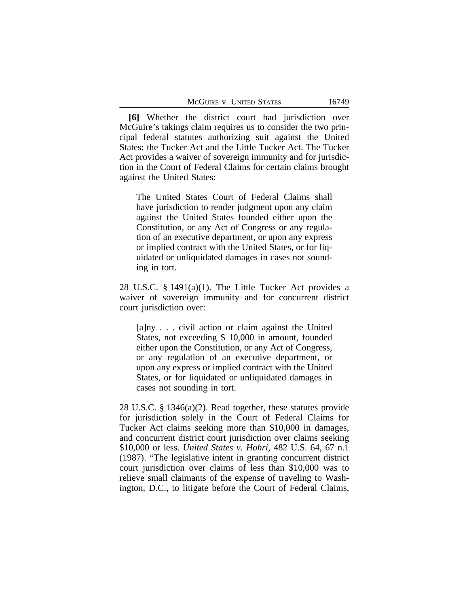**[6]** Whether the district court had jurisdiction over McGuire's takings claim requires us to consider the two principal federal statutes authorizing suit against the United States: the Tucker Act and the Little Tucker Act. The Tucker Act provides a waiver of sovereign immunity and for jurisdiction in the Court of Federal Claims for certain claims brought against the United States:

The United States Court of Federal Claims shall have jurisdiction to render judgment upon any claim against the United States founded either upon the Constitution, or any Act of Congress or any regulation of an executive department, or upon any express or implied contract with the United States, or for liquidated or unliquidated damages in cases not sounding in tort.

28 U.S.C. § 1491(a)(1). The Little Tucker Act provides a waiver of sovereign immunity and for concurrent district court jurisdiction over:

[a]ny . . . civil action or claim against the United States, not exceeding \$ 10,000 in amount, founded either upon the Constitution, or any Act of Congress, or any regulation of an executive department, or upon any express or implied contract with the United States, or for liquidated or unliquidated damages in cases not sounding in tort.

28 U.S.C. § 1346(a)(2). Read together, these statutes provide for jurisdiction solely in the Court of Federal Claims for Tucker Act claims seeking more than \$10,000 in damages, and concurrent district court jurisdiction over claims seeking \$10,000 or less. *United States v. Hohri*, 482 U.S. 64, 67 n.1 (1987). "The legislative intent in granting concurrent district court jurisdiction over claims of less than \$10,000 was to relieve small claimants of the expense of traveling to Washington, D.C., to litigate before the Court of Federal Claims,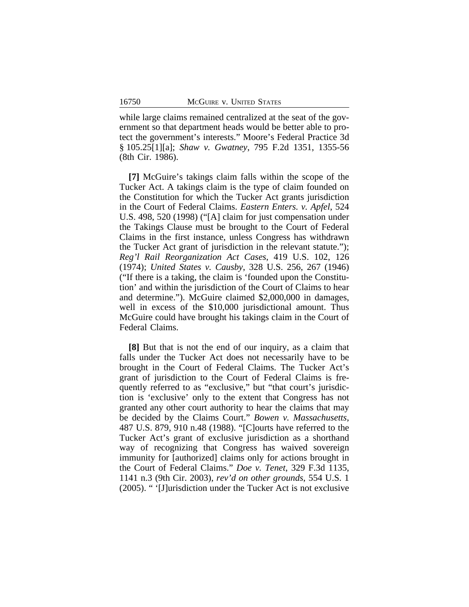while large claims remained centralized at the seat of the government so that department heads would be better able to protect the government's interests." Moore's Federal Practice 3d § 105.25[1][a]; *Shaw v. Gwatney*, 795 F.2d 1351, 1355-56 (8th Cir. 1986).

**[7]** McGuire's takings claim falls within the scope of the Tucker Act. A takings claim is the type of claim founded on the Constitution for which the Tucker Act grants jurisdiction in the Court of Federal Claims. *Eastern Enters. v. Apfel*, 524 U.S. 498, 520 (1998) ("[A] claim for just compensation under the Takings Clause must be brought to the Court of Federal Claims in the first instance, unless Congress has withdrawn the Tucker Act grant of jurisdiction in the relevant statute."); *Reg'l Rail Reorganization Act Cases*, 419 U.S. 102, 126 (1974); *United States v. Causby*, 328 U.S. 256, 267 (1946) ("If there is a taking, the claim is 'founded upon the Constitution' and within the jurisdiction of the Court of Claims to hear and determine."). McGuire claimed \$2,000,000 in damages, well in excess of the \$10,000 jurisdictional amount. Thus McGuire could have brought his takings claim in the Court of Federal Claims.

**[8]** But that is not the end of our inquiry, as a claim that falls under the Tucker Act does not necessarily have to be brought in the Court of Federal Claims. The Tucker Act's grant of jurisdiction to the Court of Federal Claims is frequently referred to as "exclusive," but "that court's jurisdiction is 'exclusive' only to the extent that Congress has not granted any other court authority to hear the claims that may be decided by the Claims Court." *Bowen v. Massachusetts*, 487 U.S. 879, 910 n.48 (1988). "[C]ourts have referred to the Tucker Act's grant of exclusive jurisdiction as a shorthand way of recognizing that Congress has waived sovereign immunity for [authorized] claims only for actions brought in the Court of Federal Claims." *Doe v. Tenet*, 329 F.3d 1135, 1141 n.3 (9th Cir. 2003), *rev'd on other grounds*, 554 U.S. 1 (2005). " '[J]urisdiction under the Tucker Act is not exclusive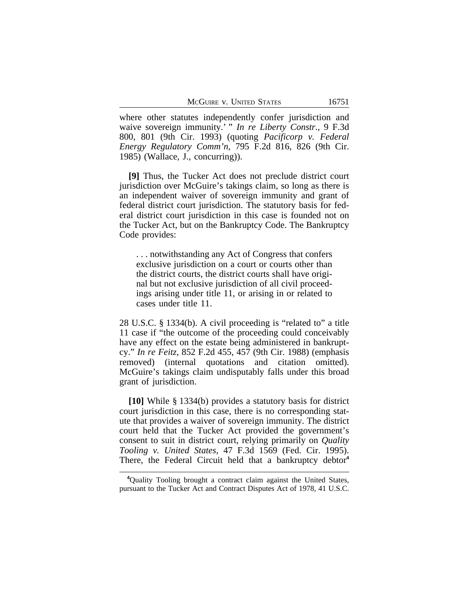where other statutes independently confer jurisdiction and waive sovereign immunity.' " *In re Liberty Constr.*, 9 F.3d 800, 801 (9th Cir. 1993) (quoting *Pacificorp v. Federal Energy Regulatory Comm'n*, 795 F.2d 816, 826 (9th Cir. 1985) (Wallace, J., concurring)).

**[9]** Thus, the Tucker Act does not preclude district court jurisdiction over McGuire's takings claim, so long as there is an independent waiver of sovereign immunity and grant of federal district court jurisdiction. The statutory basis for federal district court jurisdiction in this case is founded not on the Tucker Act, but on the Bankruptcy Code. The Bankruptcy Code provides:

. . . notwithstanding any Act of Congress that confers exclusive jurisdiction on a court or courts other than the district courts, the district courts shall have original but not exclusive jurisdiction of all civil proceedings arising under title 11, or arising in or related to cases under title 11.

28 U.S.C. § 1334(b). A civil proceeding is "related to" a title 11 case if "the outcome of the proceeding could conceivably have any effect on the estate being administered in bankruptcy." *In re Feitz*, 852 F.2d 455, 457 (9th Cir. 1988) (emphasis removed) (internal quotations and citation omitted). McGuire's takings claim undisputably falls under this broad grant of jurisdiction.

**[10]** While § 1334(b) provides a statutory basis for district court jurisdiction in this case, there is no corresponding statute that provides a waiver of sovereign immunity. The district court held that the Tucker Act provided the government's consent to suit in district court, relying primarily on *Quality Tooling v. United States*, 47 F.3d 1569 (Fed. Cir. 1995). There, the Federal Circuit held that a bankruptcy debtor**<sup>4</sup>**

**<sup>4</sup>**Quality Tooling brought a contract claim against the United States, pursuant to the Tucker Act and Contract Disputes Act of 1978, 41 U.S.C.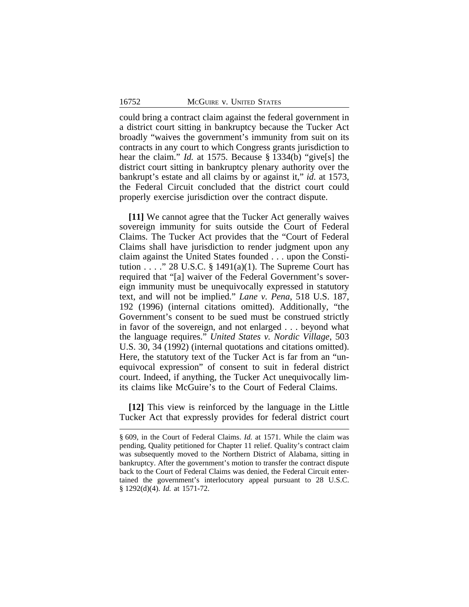could bring a contract claim against the federal government in a district court sitting in bankruptcy because the Tucker Act broadly "waives the government's immunity from suit on its contracts in any court to which Congress grants jurisdiction to hear the claim." *Id.* at 1575. Because § 1334(b) "give[s] the district court sitting in bankruptcy plenary authority over the bankrupt's estate and all claims by or against it," *id.* at 1573, the Federal Circuit concluded that the district court could properly exercise jurisdiction over the contract dispute.

**[11]** We cannot agree that the Tucker Act generally waives sovereign immunity for suits outside the Court of Federal Claims. The Tucker Act provides that the "Court of Federal Claims shall have jurisdiction to render judgment upon any claim against the United States founded . . . upon the Constitution . . . ." 28 U.S.C.  $\S$  1491(a)(1). The Supreme Court has required that "[a] waiver of the Federal Government's sovereign immunity must be unequivocally expressed in statutory text, and will not be implied." *Lane v. Pena*, 518 U.S. 187, 192 (1996) (internal citations omitted). Additionally, "the Government's consent to be sued must be construed strictly in favor of the sovereign, and not enlarged . . . beyond what the language requires." *United States v. Nordic Village*, 503 U.S. 30, 34 (1992) (internal quotations and citations omitted). Here, the statutory text of the Tucker Act is far from an "unequivocal expression" of consent to suit in federal district court. Indeed, if anything, the Tucker Act unequivocally limits claims like McGuire's to the Court of Federal Claims.

**[12]** This view is reinforced by the language in the Little Tucker Act that expressly provides for federal district court

<sup>§</sup> 609, in the Court of Federal Claims. *Id.* at 1571. While the claim was pending, Quality petitioned for Chapter 11 relief. Quality's contract claim was subsequently moved to the Northern District of Alabama, sitting in bankruptcy. After the government's motion to transfer the contract dispute back to the Court of Federal Claims was denied, the Federal Circuit entertained the government's interlocutory appeal pursuant to 28 U.S.C. § 1292(d)(4). *Id.* at 1571-72.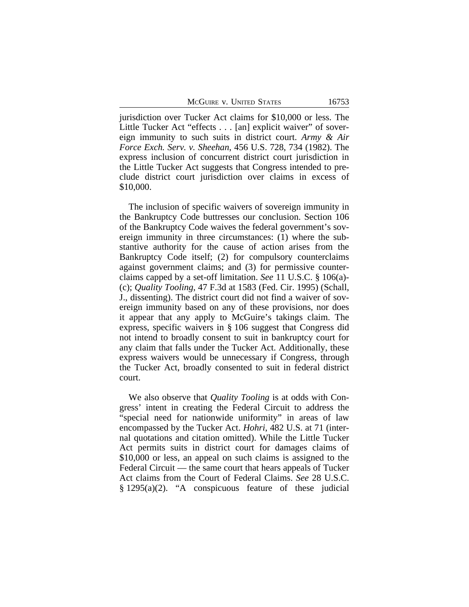McGuire v. United States 16753

jurisdiction over Tucker Act claims for \$10,000 or less. The Little Tucker Act "effects . . . [an] explicit waiver" of sovereign immunity to such suits in district court. *Army & Air Force Exch. Serv. v. Sheehan*, 456 U.S. 728, 734 (1982). The express inclusion of concurrent district court jurisdiction in the Little Tucker Act suggests that Congress intended to preclude district court jurisdiction over claims in excess of \$10,000.

The inclusion of specific waivers of sovereign immunity in the Bankruptcy Code buttresses our conclusion. Section 106 of the Bankruptcy Code waives the federal government's sovereign immunity in three circumstances: (1) where the substantive authority for the cause of action arises from the Bankruptcy Code itself; (2) for compulsory counterclaims against government claims; and (3) for permissive counterclaims capped by a set-off limitation. *See* 11 U.S.C. § 106(a)- (c); *Quality Tooling*, 47 F.3d at 1583 (Fed. Cir. 1995) (Schall, J., dissenting). The district court did not find a waiver of sovereign immunity based on any of these provisions, nor does it appear that any apply to McGuire's takings claim. The express, specific waivers in § 106 suggest that Congress did not intend to broadly consent to suit in bankruptcy court for any claim that falls under the Tucker Act. Additionally, these express waivers would be unnecessary if Congress, through the Tucker Act, broadly consented to suit in federal district court.

We also observe that *Quality Tooling* is at odds with Congress' intent in creating the Federal Circuit to address the "special need for nationwide uniformity" in areas of law encompassed by the Tucker Act. *Hohri*, 482 U.S. at 71 (internal quotations and citation omitted). While the Little Tucker Act permits suits in district court for damages claims of \$10,000 or less, an appeal on such claims is assigned to the Federal Circuit — the same court that hears appeals of Tucker Act claims from the Court of Federal Claims. *See* 28 U.S.C. § 1295(a)(2). "A conspicuous feature of these judicial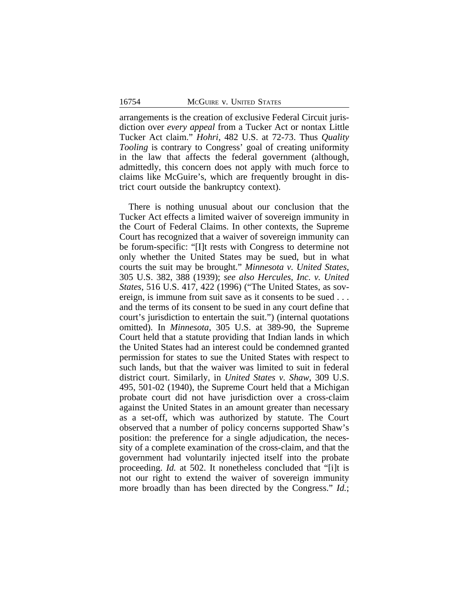arrangements is the creation of exclusive Federal Circuit jurisdiction over *every appeal* from a Tucker Act or nontax Little Tucker Act claim." *Hohri*, 482 U.S. at 72-73. Thus *Quality Tooling* is contrary to Congress' goal of creating uniformity in the law that affects the federal government (although, admittedly, this concern does not apply with much force to claims like McGuire's, which are frequently brought in district court outside the bankruptcy context).

There is nothing unusual about our conclusion that the Tucker Act effects a limited waiver of sovereign immunity in the Court of Federal Claims. In other contexts, the Supreme Court has recognized that a waiver of sovereign immunity can be forum-specific: "[I]t rests with Congress to determine not only whether the United States may be sued, but in what courts the suit may be brought." *Minnesota v. United States*, 305 U.S. 382, 388 (1939); *see also Hercules, Inc. v. United States*, 516 U.S. 417, 422 (1996) ("The United States, as sovereign, is immune from suit save as it consents to be sued . . . and the terms of its consent to be sued in any court define that court's jurisdiction to entertain the suit.") (internal quotations omitted). In *Minnesota*, 305 U.S. at 389-90, the Supreme Court held that a statute providing that Indian lands in which the United States had an interest could be condemned granted permission for states to sue the United States with respect to such lands, but that the waiver was limited to suit in federal district court. Similarly, in *United States v. Shaw*, 309 U.S. 495, 501-02 (1940), the Supreme Court held that a Michigan probate court did not have jurisdiction over a cross-claim against the United States in an amount greater than necessary as a set-off, which was authorized by statute. The Court observed that a number of policy concerns supported Shaw's position: the preference for a single adjudication, the necessity of a complete examination of the cross-claim, and that the government had voluntarily injected itself into the probate proceeding. *Id.* at 502. It nonetheless concluded that "[i]t is not our right to extend the waiver of sovereign immunity more broadly than has been directed by the Congress." *Id.*;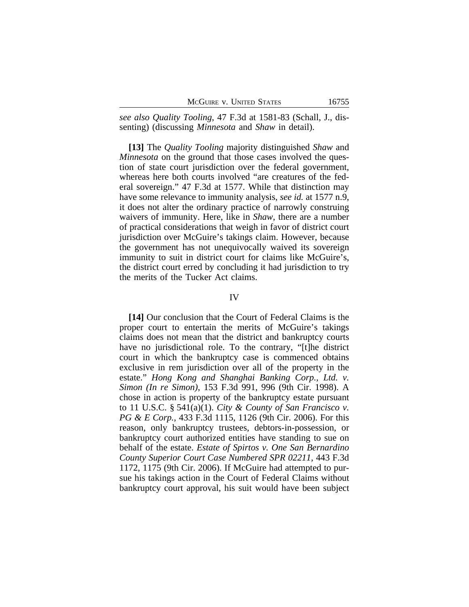| McGuire v. United States |  |  |
|--------------------------|--|--|
|--------------------------|--|--|

*see also Quality Tooling*, 47 F.3d at 1581-83 (Schall, J., dissenting) (discussing *Minnesota* and *Shaw* in detail).

**[13]** The *Quality Tooling* majority distinguished *Shaw* and *Minnesota* on the ground that those cases involved the question of state court jurisdiction over the federal government, whereas here both courts involved "are creatures of the federal sovereign." 47 F.3d at 1577. While that distinction may have some relevance to immunity analysis, *see id.* at 1577 n.9, it does not alter the ordinary practice of narrowly construing waivers of immunity. Here, like in *Shaw*, there are a number of practical considerations that weigh in favor of district court jurisdiction over McGuire's takings claim. However, because the government has not unequivocally waived its sovereign immunity to suit in district court for claims like McGuire's, the district court erred by concluding it had jurisdiction to try the merits of the Tucker Act claims.

#### IV

**[14]** Our conclusion that the Court of Federal Claims is the proper court to entertain the merits of McGuire's takings claims does not mean that the district and bankruptcy courts have no jurisdictional role. To the contrary, "[t]he district court in which the bankruptcy case is commenced obtains exclusive in rem jurisdiction over all of the property in the estate." *Hong Kong and Shanghai Banking Corp., Ltd. v. Simon (In re Simon)*, 153 F.3d 991, 996 (9th Cir. 1998). A chose in action is property of the bankruptcy estate pursuant to 11 U.S.C. § 541(a)(1). *City & County of San Francisco v. PG & E Corp.*, 433 F.3d 1115, 1126 (9th Cir. 2006). For this reason, only bankruptcy trustees, debtors-in-possession, or bankruptcy court authorized entities have standing to sue on behalf of the estate. *Estate of Spirtos v. One San Bernardino County Superior Court Case Numbered SPR 02211*, 443 F.3d 1172, 1175 (9th Cir. 2006). If McGuire had attempted to pursue his takings action in the Court of Federal Claims without bankruptcy court approval, his suit would have been subject